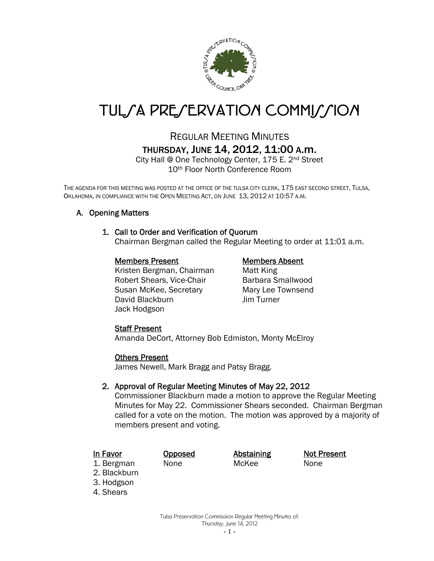

# TUL*SA PRESERVATION COMMISSION*

## REGULAR MEETING MINUTES THURSDAY, JUNE 14, 2012, 11:00 A.m.

City Hall @ One Technology Center, 175 E. 2nd Street 10th Floor North Conference Room

THE AGENDA FOR THIS MEETING WAS POSTED AT THE OFFICE OF THE TULSA CITY CLERK, 175 EAST SECOND STREET, TULSA, OKLAHOMA, IN COMPLIANCE WITH THE OPEN MEETING ACT, ON JUNE 13, 2012 AT 10:57 A.M.

### A. Opening Matters

#### 1. Call to Order and Verification of Quorum

Chairman Bergman called the Regular Meeting to order at 11:01 a.m.

#### Members Present Members Absent

Kristen Bergman, Chairman Matt King Robert Shears, Vice-Chair Barbara Smallwood Susan McKee, Secretary Mary Lee Townsend David Blackburn Jim Turner Jack Hodgson

#### Staff Present

Amanda DeCort, Attorney Bob Edmiston, Monty McElroy

#### Others Present

James Newell, Mark Bragg and Patsy Bragg.

#### 2. Approval of Regular Meeting Minutes of May 22, 2012

Commissioner Blackburn made a motion to approve the Regular Meeting Minutes for May 22. Commissioner Shears seconded. Chairman Bergman called for a vote on the motion. The motion was approved by a majority of members present and voting.

1. Bergman None McKee None

In Favor **Opposed** Abstaining Not Present

- 2. Blackburn
- 3. Hodgson
- 4. Shears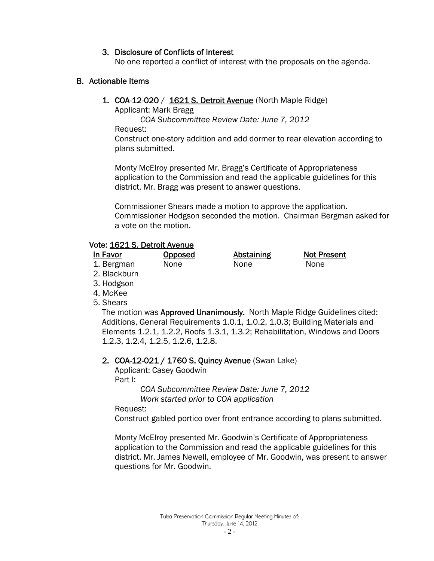#### 3. Disclosure of Conflicts of Interest

No one reported a conflict of interest with the proposals on the agenda.

#### B. Actionable Items

**1. COA-12-020 / 1621 S. Detroit Avenue (North Maple Ridge)** 

Applicant: Mark Bragg

 *COA Subcommittee Review Date: June 7, 2012* 

Request:

 Construct one-story addition and add dormer to rear elevation according to plans submitted.

Monty McElroy presented Mr. Bragg's Certificate of Appropriateness application to the Commission and read the applicable guidelines for this district. Mr. Bragg was present to answer questions.

Commissioner Shears made a motion to approve the application. Commissioner Hodgson seconded the motion. Chairman Bergman asked for a vote on the motion.

#### Vote: 1621 S. Detroit Avenue

| In Favor | <b>Opposed</b> | Abstaining | <b>Not Present</b> |
|----------|----------------|------------|--------------------|
|----------|----------------|------------|--------------------|

#### 1. Bergman None None None

2. Blackburn

- 3. Hodgson
- 4. McKee
- 5. Shears

The motion was Approved Unanimously. North Maple Ridge Guidelines cited: Additions, General Requirements 1.0.1, 1.0.2, 1.0.3; Building Materials and Elements 1.2.1, 1.2.2, Roofs 1.3.1, 1.3.2; Rehabilitation, Windows and Doors 1.2.3, 1.2.4, 1.2.5, 1.2.6, 1.2.8.

### 2. COA-12-021 / 1760 S. Quincy Avenue (Swan Lake)

Applicant: Casey Goodwin

Part I:

 *COA Subcommittee Review Date: June 7, 2012 Work started prior to COA application* 

Request:

Construct gabled portico over front entrance according to plans submitted.

Monty McElroy presented Mr. Goodwin's Certificate of Appropriateness application to the Commission and read the applicable guidelines for this district. Mr. James Newell, employee of Mr. Goodwin, was present to answer questions for Mr. Goodwin.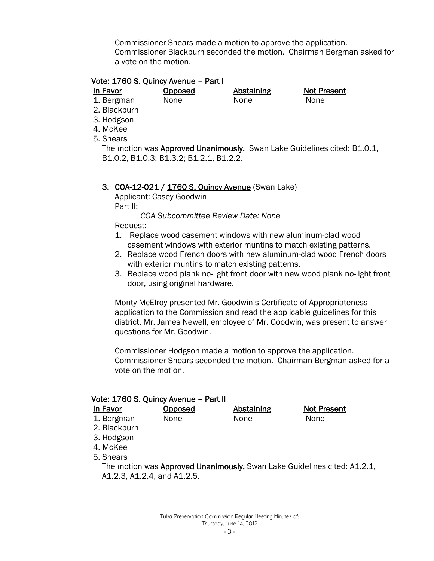Commissioner Shears made a motion to approve the application. Commissioner Blackburn seconded the motion. Chairman Bergman asked for a vote on the motion.

#### Vote: 1760 S. Quincy Avenue – Part I

In Favor **Opposed** Abstaining Not Present

1. Bergman None None None

- 2. Blackburn
- 3. Hodgson
- 4. McKee
- 5. Shears

The motion was Approved Unanimously. Swan Lake Guidelines cited: B1.0.1, B1.0.2, B1.0.3; B1.3.2; B1.2.1, B1.2.2.

#### 3. COA-12-021 / 1760 S. Quincy Avenue (Swan Lake)

 Applicant: Casey Goodwin Part II:

 *COA Subcommittee Review Date: None* 

Request:

- 1. Replace wood casement windows with new aluminum-clad wood casement windows with exterior muntins to match existing patterns.
- 2. Replace wood French doors with new aluminum-clad wood French doors with exterior muntins to match existing patterns.
- 3. Replace wood plank no-light front door with new wood plank no-light front door, using original hardware.

Monty McElroy presented Mr. Goodwin's Certificate of Appropriateness application to the Commission and read the applicable guidelines for this district. Mr. James Newell, employee of Mr. Goodwin, was present to answer questions for Mr. Goodwin.

Commissioner Hodgson made a motion to approve the application. Commissioner Shears seconded the motion. Chairman Bergman asked for a vote on the motion.

| Vote: 1760 S. Quincy Avenue - Part II<br>In Favor<br>1. Bergman<br>2. Blackburn<br>3. Hodgson<br>4. McKee<br>5. Shears | Opposed<br><b>None</b> | <b>Abstaining</b><br><b>None</b> | <b>Not Present</b><br><b>None</b> |  |  |
|------------------------------------------------------------------------------------------------------------------------|------------------------|----------------------------------|-----------------------------------|--|--|
| The motion was Approved Unanimously. Swan Lake Guidelines cited: A1.2.1,<br>A1.2.3, A1.2.4, and A1.2.5.                |                        |                                  |                                   |  |  |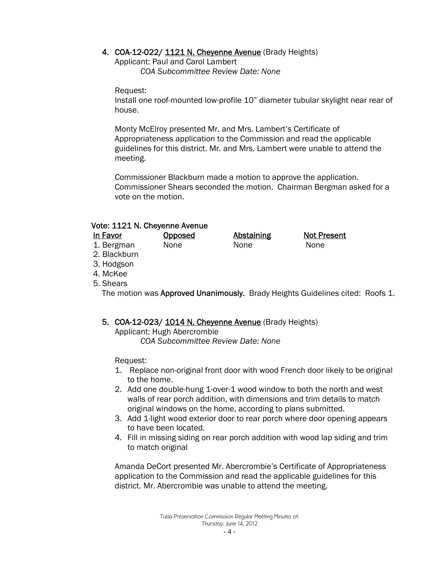#### 4. COA-12-022/ 1121 N. Cheyenne Avenue (Brady Heights)

 Applicant: Paul and Carol Lambert *COA Subcommittee Review Date: None* 

Request:

Install one roof-mounted low-profile 10" diameter tubular skylight near rear of house.

Monty McElroy presented Mr. and Mrs. Lambert's Certificate of Appropriateness application to the Commission and read the applicable guidelines for this district. Mr. and Mrs. Lambert were unable to attend the meeting.

Commissioner Blackburn made a motion to approve the application. Commissioner Shears seconded the motion. Chairman Bergman asked for a vote on the motion.

### Vote: 1121 N. Cheyenne Avenue

- In Favor **Opposed** Abstaining Not Present
- 1. Bergman None None None
- 2. Blackburn
- 3. Hodgson
- 4. McKee
- 5. Shears

The motion was Approved Unanimously. Brady Heights Guidelines cited: Roofs 1.

### 5. COA-12-023/ 1014 N. Cheyenne Avenue (Brady Heights)

 Applicant: Hugh Abercrombie *COA Subcommittee Review Date: None* 

Request:

- 1. Replace non-original front door with wood French door likely to be original to the home.
- 2. Add one double-hung 1-over-1 wood window to both the north and west walls of rear porch addition, with dimensions and trim details to match original windows on the home, according to plans submitted.
- 3. Add 1-light wood exterior door to rear porch where door opening appears to have been located.
- 4. Fill in missing siding on rear porch addition with wood lap siding and trim to match original

Amanda DeCort presented Mr. Abercrombie's Certificate of Appropriateness application to the Commission and read the applicable guidelines for this district. Mr. Abercrombie was unable to attend the meeting.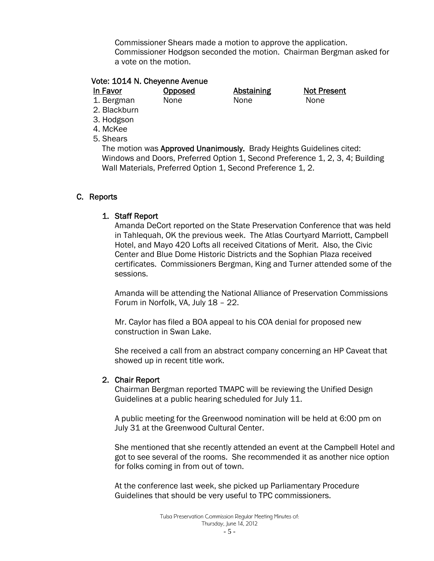Commissioner Shears made a motion to approve the application. Commissioner Hodgson seconded the motion. Chairman Bergman asked for a vote on the motion.

#### Vote: 1014 N. Cheyenne Avenue

In Favor **Opposed** Abstaining Not Present

1. Bergman None None None

2. Blackburn

3. Hodgson 4. McKee

5. Shears

The motion was Approved Unanimously. Brady Heights Guidelines cited: Windows and Doors, Preferred Option 1, Second Preference 1, 2, 3, 4; Building Wall Materials, Preferred Option 1, Second Preference 1, 2.

### C. Reports

#### 1. Staff Report

Amanda DeCort reported on the State Preservation Conference that was held in Tahlequah, OK the previous week. The Atlas Courtyard Marriott, Campbell Hotel, and Mayo 420 Lofts all received Citations of Merit. Also, the Civic Center and Blue Dome Historic Districts and the Sophian Plaza received certificates. Commissioners Bergman, King and Turner attended some of the sessions.

Amanda will be attending the National Alliance of Preservation Commissions Forum in Norfolk, VA, July 18 – 22.

Mr. Caylor has filed a BOA appeal to his COA denial for proposed new construction in Swan Lake.

She received a call from an abstract company concerning an HP Caveat that showed up in recent title work.

#### 2. Chair Report

Chairman Bergman reported TMAPC will be reviewing the Unified Design Guidelines at a public hearing scheduled for July 11.

A public meeting for the Greenwood nomination will be held at 6:00 pm on July 31 at the Greenwood Cultural Center.

She mentioned that she recently attended an event at the Campbell Hotel and got to see several of the rooms. She recommended it as another nice option for folks coming in from out of town.

At the conference last week, she picked up Parliamentary Procedure Guidelines that should be very useful to TPC commissioners.